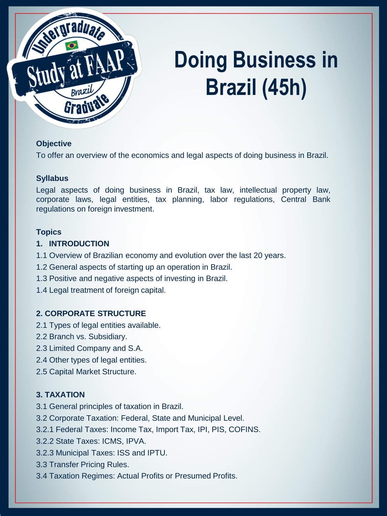

# **Doing Business in Brazil (45h)**

#### **Objective**

To offer an overview of the economics and legal aspects of doing business in Brazil.

#### **Syllabus**

Legal aspects of doing business in Brazil, tax law, intellectual property law, corporate laws, legal entities, tax planning, labor regulations, Central Bank regulations on foreign investment.

#### **Topics**

#### **1. INTRODUCTION**

- 1.1 Overview of Brazilian economy and evolution over the last 20 years.
- 1.2 General aspects of starting up an operation in Brazil.
- 1.3 Positive and negative aspects of investing in Brazil.
- 1.4 Legal treatment of foreign capital.

### **2. CORPORATE STRUCTURE**

- 2.1 Types of legal entities available.
- 2.2 Branch vs. Subsidiary.
- 2.3 Limited Company and S.A.
- 2.4 Other types of legal entities.
- 2.5 Capital Market Structure.

### **3. TAXATION**

- 3.1 General principles of taxation in Brazil.
- 3.2 Corporate Taxation: Federal, State and Municipal Level.
- 3.2.1 Federal Taxes: Income Tax, Import Tax, IPI, PIS, COFINS.
- 3.2.2 State Taxes: ICMS, IPVA.
- 3.2.3 Municipal Taxes: ISS and IPTU.
- 3.3 Transfer Pricing Rules.
- 3.4 Taxation Regimes: Actual Profits or Presumed Profits.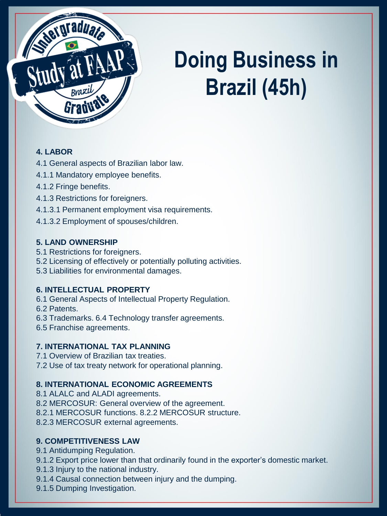

# **Doing Business in Brazil (45h)**

# **4. LABOR**

4.1 General aspects of Brazilian labor law.

- 4.1.1 Mandatory employee benefits.
- 4.1.2 Fringe benefits.
- 4.1.3 Restrictions for foreigners.
- 4.1.3.1 Permanent employment visa requirements.
- 4.1.3.2 Employment of spouses/children.

## **5. LAND OWNERSHIP**

- 5.1 Restrictions for foreigners.
- 5.2 Licensing of effectively or potentially polluting activities.
- 5.3 Liabilities for environmental damages.

# **6. INTELLECTUAL PROPERTY**

- 6.1 General Aspects of Intellectual Property Regulation.
- 6.2 Patents.
- 6.3 Trademarks. 6.4 Technology transfer agreements.
- 6.5 Franchise agreements.

# **7. INTERNATIONAL TAX PLANNING**

- 7.1 Overview of Brazilian tax treaties.
- 7.2 Use of tax treaty network for operational planning.

# **8. INTERNATIONAL ECONOMIC AGREEMENTS**

- 8.1 ALALC and ALADI agreements.
- 8.2 MERCOSUR: General overview of the agreement.
- 8.2.1 MERCOSUR functions. 8.2.2 MERCOSUR structure.
- 8.2.3 MERCOSUR external agreements.

# **9. COMPETITIVENESS LAW**

- 9.1 Antidumping Regulation.
- 9.1.2 Export price lower than that ordinarily found in the exporter's domestic market.
- 9.1.3 Injury to the national industry.
- 9.1.4 Causal connection between injury and the dumping.
- 9.1.5 Dumping Investigation.